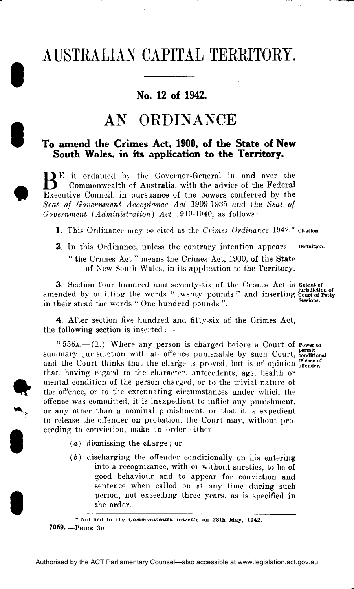# **AU** AUSTRALIAN CAPITAL TERRITORY.

**No. 12 of 1942.** 

### AN ORDINANCE

## **I T**<sub>o</sub> a<br> **I T**<sub>o</sub> a<br>
So **To amend the Crimes Act, 1900, of the State of New South Wales, in its application to the Territory.**

BE it ordained by the Governor-General in and over the Commonwealth of Australia, with the advice of the Federal Commonwealth of Australia, with the advice of the Federal Executive Council, in pursuance of the powers conferred by the *Seat of Government Acceptance Act* 1909-1935 and the *Seat of Government (Administration) Act* 1910-1940, as follows:—

1. This Ordinance may be cited as the *Crimes Ordinance* 1942.\* citation.

2. In this Ordinance, unless the contrary intention appears— Definition. " the Crimes Act " means the Crimes Act, 1900, of the State of New South Wales, in its application to the Territory.

3. Section four hundred and seventy-six of the Crimes Act is Extent of amended by omitting the words "twenty pounds" and inserting court of Petty in their stead the words " One hundred pounds ".

4. After section five hundred and fifty-six of the Crimes Act, the following section is inserted :—

**I** If the offen " $556$ A.— $(1)$  Where any person is charged before a Court of Powerto summary jurisdiction with an offence punishable by such Court, conditional and the Court thinks that the charge is proved, but is of opinion offender. that, having regard to the character, antecedents, age, health or mental condition of the person charged, or to the trivial nature of the offence, or to the extenuating circumstances under which the offence was committed, it is inexpedient to inflict any punishment, or any other than a nominal punishment, or that it is expedient to release the offender on probation, the Court may, without proceeding to conviction, make an order either—•

- $(a)$  dismissing the charge; or
- $(b)$  discharging the offender conditionally on his entering into a recognizance, with or without sureties, to be of good behaviour and to appear for conviction and sentence when called on at any time during such period, not exceeding three years, as is specified in the order.

\* Notified in the *Commonwealth Gazette* on 28th May, 1942. **7059. —PRICK 3D.**